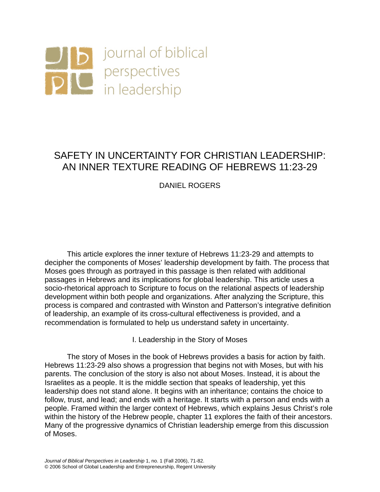

# SAFETY IN UNCERTAINTY FOR CHRISTIAN LEADERSHIP: AN INNER TEXTURE READING OF HEBREWS 11:23-29

# DANIEL ROGERS

This article explores the inner texture of Hebrews 11:23-29 and attempts to decipher the components of Moses' leadership development by faith. The process that Moses goes through as portrayed in this passage is then related with additional passages in Hebrews and its implications for global leadership. This article uses a socio-rhetorical approach to Scripture to focus on the relational aspects of leadership development within both people and organizations. After analyzing the Scripture, this process is compared and contrasted with Winston and Patterson's integrative definition of leadership, an example of its cross-cultural effectiveness is provided, and a recommendation is formulated to help us understand safety in uncertainty.

I. Leadership in the Story of Moses

The story of Moses in the book of Hebrews provides a basis for action by faith. Hebrews 11:23-29 also shows a progression that begins not with Moses, but with his parents. The conclusion of the story is also not about Moses. Instead, it is about the Israelites as a people. It is the middle section that speaks of leadership, yet this leadership does not stand alone. It begins with an inheritance; contains the choice to follow, trust, and lead; and ends with a heritage. It starts with a person and ends with a people. Framed within the larger context of Hebrews, which explains Jesus Christ's role within the history of the Hebrew people, chapter 11 explores the faith of their ancestors. Many of the progressive dynamics of Christian leadership emerge from this discussion of Moses.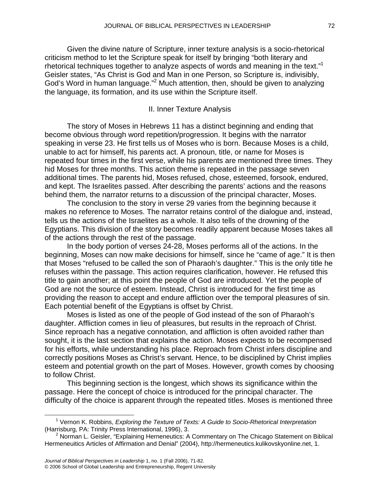Given the divine nature of Scripture, inner texture analysis is a socio-rhetorical criticism method to let the Scripture speak for itself by bringing "both literary and rhetorical techniques together to analyze aspects of words and meaning in the text."[1](#page-1-0) Geisler states, "As Christ is God and Man in one Person, so Scripture is, indivisibly, God's Word in human language."<sup>2</sup> Much attention, then, should be given to analyzing the language, its formation, and its use within the Scripture itself.

## II. Inner Texture Analysis

The story of Moses in Hebrews 11 has a distinct beginning and ending that become obvious through word repetition/progression. It begins with the narrator speaking in verse 23. He first tells us of Moses who is born. Because Moses is a child, unable to act for himself, his parents act. A pronoun, title, or name for Moses is repeated four times in the first verse, while his parents are mentioned three times. They hid Moses for three months. This action theme is repeated in the passage seven additional times. The parents hid, Moses refused, chose, esteemed, forsook, endured, and kept. The Israelites passed. After describing the parents' actions and the reasons behind them, the narrator returns to a discussion of the principal character, Moses.

The conclusion to the story in verse 29 varies from the beginning because it makes no reference to Moses. The narrator retains control of the dialogue and, instead, tells us the actions of the Israelites as a whole. It also tells of the drowning of the Egyptians. This division of the story becomes readily apparent because Moses takes all of the actions through the rest of the passage.

In the body portion of verses 24-28, Moses performs all of the actions. In the beginning, Moses can now make decisions for himself, since he "came of age." It is then that Moses "refused to be called the son of Pharaoh's daughter." This is the only title he refuses within the passage. This action requires clarification, however. He refused this title to gain another; at this point the people of God are introduced. Yet the people of God are not the source of esteem. Instead, Christ is introduced for the first time as providing the reason to accept and endure affliction over the temporal pleasures of sin. Each potential benefit of the Egyptians is offset by Christ.

Moses is listed as one of the people of God instead of the son of Pharaoh's daughter. Affliction comes in lieu of pleasures, but results in the reproach of Christ. Since reproach has a negative connotation, and affliction is often avoided rather than sought, it is the last section that explains the action. Moses expects to be recompensed for his efforts, while understanding his place. Reproach from Christ infers discipline and correctly positions Moses as Christ's servant. Hence, to be disciplined by Christ implies esteem and potential growth on the part of Moses. However, growth comes by choosing to follow Christ.

This beginning section is the longest, which shows its significance within the passage. Here the concept of choice is introduced for the principal character. The difficulty of the choice is apparent through the repeated titles. Moses is mentioned three

<span id="page-1-0"></span> $\overline{\phantom{0}}$  1 Vernon K. Robbins, *Exploring the Texture of Texts: A Guide to Socio-Rhetorical Interpretation* (Harrisburg, PA: Trinity Press International, 1996), 3.

<span id="page-1-1"></span> $2$  Norman L. Geisler, "Explaining Herneneutics: A Commentary on The Chicago Statement on Biblical Hermeneuitics Articles of Affirmation and Denial" (2004), http://hermeneutics.kulikovskyonline.net, 1.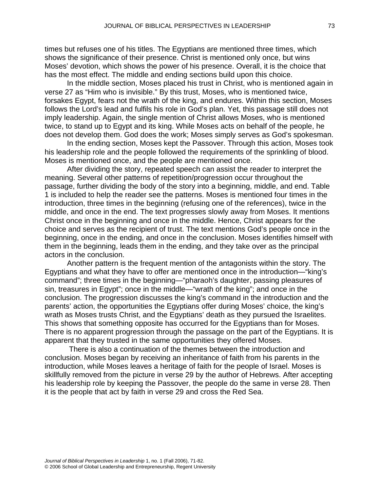times but refuses one of his titles. The Egyptians are mentioned three times, which shows the significance of their presence. Christ is mentioned only once, but wins Moses' devotion, which shows the power of his presence. Overall, it is the choice that has the most effect. The middle and ending sections build upon this choice.

In the middle section, Moses placed his trust in Christ, who is mentioned again in verse 27 as "Him who is invisible." By this trust, Moses, who is mentioned twice, forsakes Egypt, fears not the wrath of the king, and endures. Within this section, Moses follows the Lord's lead and fulfils his role in God's plan. Yet, this passage still does not imply leadership. Again, the single mention of Christ allows Moses, who is mentioned twice, to stand up to Egypt and its king. While Moses acts on behalf of the people, he does not develop them. God does the work; Moses simply serves as God's spokesman.

In the ending section, Moses kept the Passover. Through this action, Moses took his leadership role and the people followed the requirements of the sprinkling of blood. Moses is mentioned once, and the people are mentioned once.

After dividing the story, repeated speech can assist the reader to interpret the meaning. Several other patterns of repetition/progression occur throughout the passage, further dividing the body of the story into a beginning, middle, and end. Table 1 is included to help the reader see the patterns. Moses is mentioned four times in the introduction, three times in the beginning (refusing one of the references), twice in the middle, and once in the end. The text progresses slowly away from Moses. It mentions Christ once in the beginning and once in the middle. Hence, Christ appears for the choice and serves as the recipient of trust. The text mentions God's people once in the beginning, once in the ending, and once in the conclusion. Moses identifies himself with them in the beginning, leads them in the ending, and they take over as the principal actors in the conclusion.

Another pattern is the frequent mention of the antagonists within the story. The Egyptians and what they have to offer are mentioned once in the introduction—"king's command"; three times in the beginning—"pharaoh's daughter, passing pleasures of sin, treasures in Egypt"; once in the middle—"wrath of the king"; and once in the conclusion. The progression discusses the king's command in the introduction and the parents' action, the opportunities the Egyptians offer during Moses' choice, the king's wrath as Moses trusts Christ, and the Egyptians' death as they pursued the Israelites. This shows that something opposite has occurred for the Egyptians than for Moses. There is no apparent progression through the passage on the part of the Egyptians. It is apparent that they trusted in the same opportunities they offered Moses.

 There is also a continuation of the themes between the introduction and conclusion. Moses began by receiving an inheritance of faith from his parents in the introduction, while Moses leaves a heritage of faith for the people of Israel. Moses is skillfully removed from the picture in verse 29 by the author of Hebrews. After accepting his leadership role by keeping the Passover, the people do the same in verse 28. Then it is the people that act by faith in verse 29 and cross the Red Sea.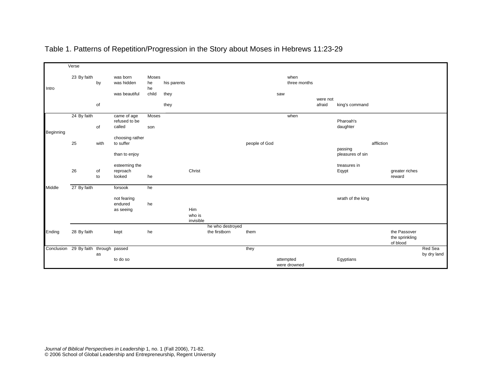|           | Verse                                 |          |                              |             |             |           |                                   |               |           |                      |          |                   |            |                            |             |
|-----------|---------------------------------------|----------|------------------------------|-------------|-------------|-----------|-----------------------------------|---------------|-----------|----------------------|----------|-------------------|------------|----------------------------|-------------|
| Intro     |                                       |          |                              |             |             |           |                                   |               |           |                      |          |                   |            |                            |             |
|           | 23 By faith                           | by       | was born<br>was hidden       | Moses<br>he | his parents |           |                                   |               |           | when<br>three months |          |                   |            |                            |             |
|           |                                       |          | was beautiful                | he<br>child |             |           |                                   |               |           |                      |          |                   |            |                            |             |
|           |                                       |          |                              |             | they        |           |                                   |               | saw       |                      | were not |                   |            |                            |             |
|           |                                       | of       |                              |             | they        |           |                                   |               |           |                      | afraid   | king's command    |            |                            |             |
| Beginning | 24 By faith                           |          | came of age<br>refused to be | Moses       |             |           |                                   |               |           | when                 |          | Pharoah's         |            |                            |             |
|           |                                       | of       | called                       | son         |             |           |                                   |               |           |                      |          | daughter          |            |                            |             |
|           |                                       |          | choosing rather              |             |             |           |                                   |               |           |                      |          |                   |            |                            |             |
|           | 25                                    | with     | to suffer                    |             |             |           |                                   | people of God |           |                      |          | passing           | affliction |                            |             |
|           |                                       |          | than to enjoy                |             |             |           |                                   |               |           |                      |          | pleasures of sin  |            |                            |             |
|           |                                       |          | esteeming the                |             |             |           |                                   |               |           |                      |          | treasures in      |            |                            |             |
|           | 26                                    | of<br>to | reproach<br>looked           | he          |             | Christ    |                                   |               |           |                      |          | Eqypt             |            | greater riches<br>reward   |             |
|           |                                       |          |                              |             |             |           |                                   |               |           |                      |          |                   |            |                            |             |
| Middle    | 27 By faith                           |          | forsook                      | he          |             |           |                                   |               |           |                      |          |                   |            |                            |             |
|           |                                       |          | not fearing                  |             |             |           |                                   |               |           |                      |          | wrath of the king |            |                            |             |
|           |                                       |          | endured                      | he          |             | Him       |                                   |               |           |                      |          |                   |            |                            |             |
|           |                                       |          | as seeing                    |             |             | who is    |                                   |               |           |                      |          |                   |            |                            |             |
|           |                                       |          |                              |             |             | invisible |                                   |               |           |                      |          |                   |            |                            |             |
| Ending    | 28 By faith                           |          |                              | he          |             |           | he who destroyed<br>the firstborn | them          |           |                      |          |                   |            | the Passover               |             |
|           |                                       |          | kept                         |             |             |           |                                   |               |           |                      |          |                   |            | the sprinkling<br>of blood |             |
|           | Conclusion 29 By faith through passed |          |                              |             |             |           |                                   | they          |           |                      |          |                   |            |                            | Red Sea     |
|           |                                       | as       | to do so                     |             |             |           |                                   |               | attempted | were drowned         |          | Egyptians         |            |                            | by dry land |

# Table 1. Patterns of Repetition/Progression in the Story about Moses in Hebrews 11:23-29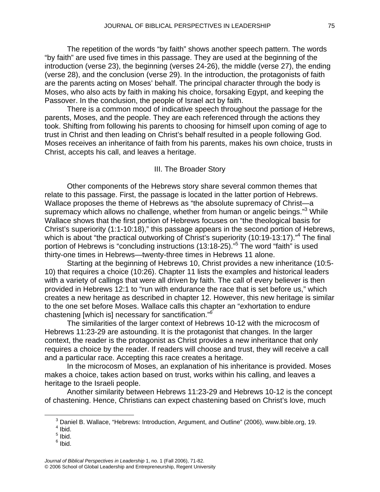The repetition of the words "by faith" shows another speech pattern. The words "by faith" are used five times in this passage. They are used at the beginning of the introduction (verse 23), the beginning (verses 24-26), the middle (verse 27), the ending (verse 28), and the conclusion (verse 29). In the introduction, the protagonists of faith are the parents acting on Moses' behalf. The principal character through the body is Moses, who also acts by faith in making his choice, forsaking Egypt, and keeping the Passover. In the conclusion, the people of Israel act by faith.

There is a common mood of indicative speech throughout the passage for the parents, Moses, and the people. They are each referenced through the actions they took. Shifting from following his parents to choosing for himself upon coming of age to trust in Christ and then leading on Christ's behalf resulted in a people following God. Moses receives an inheritance of faith from his parents, makes his own choice, trusts in Christ, accepts his call, and leaves a heritage.

#### III. The Broader Story

Other components of the Hebrews story share several common themes that relate to this passage. First, the passage is located in the latter portion of Hebrews. Wallace proposes the theme of Hebrews as "the absolute supremacy of Christ—a supremacy which allows no challenge, whether from human or angelic beings."<sup>[3](#page-4-0)</sup> While Wallace shows that the first portion of Hebrews focuses on "the theological basis for Christ's superiority (1:1-10:18)," this passage appears in the second portion of Hebrews, which is about "the practical outworking of Christ's superiority (10:19-13:17)."<sup>[4](#page-4-1)</sup> The final portion of Hebrews is "concluding instructions (13:18-2[5](#page-4-2))."<sup>5</sup> The word "faith" is used thirty-one times in Hebrews—twenty-three times in Hebrews 11 alone.

Starting at the beginning of Hebrews 10, Christ provides a new inheritance (10:5- 10) that requires a choice (10:26). Chapter 11 lists the examples and historical leaders with a variety of callings that were all driven by faith. The call of every believer is then provided in Hebrews 12:1 to "run with endurance the race that is set before us," which creates a new heritage as described in chapter 12. However, this new heritage is similar to the one set before Moses. Wallace calls this chapter an "exhortation to endure chastening [which is] necessary for sanctification."*[6](#page-4-3)*

The similarities of the larger context of Hebrews 10-12 with the microcosm of Hebrews 11:23-29 are astounding. It is the protagonist that changes. In the larger context, the reader is the protagonist as Christ provides a new inheritance that only requires a choice by the reader. If readers will choose and trust, they will receive a call and a particular race. Accepting this race creates a heritage.

In the microcosm of Moses, an explanation of his inheritance is provided. Moses makes a choice, takes action based on trust, works within his calling, and leaves a heritage to the Israeli people.

Another similarity between Hebrews 11:23-29 and Hebrews 10-12 is the concept of chastening. Hence, Christians can expect chastening based on Christ's love, much

<span id="page-4-3"></span> $^6$  Ibid.

 $\frac{1}{3}$ <sup>3</sup> Daniel B. Wallace, "Hebrews: Introduction, Argument, and Outline" (2006), www.bible.org, 19.

<span id="page-4-1"></span><span id="page-4-0"></span> $<sup>4</sup>$  Ibid.</sup>

<span id="page-4-2"></span> $^5$  Ibid.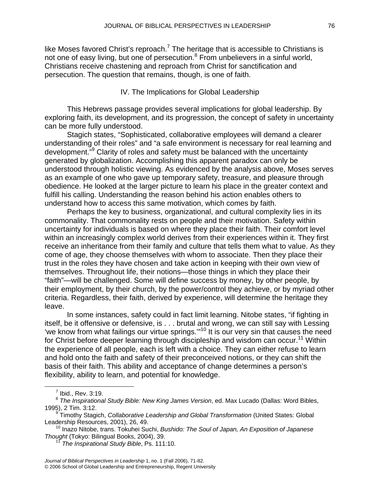like Moses favored Christ's reproach.<sup>[7](#page-5-0)</sup> The heritage that is accessible to Christians is not one of easy living, but one of persecution.<sup>[8](#page-5-1)</sup> From unbelievers in a sinful world, Christians receive chastening and reproach from Christ for sanctification and persecution. The question that remains, though, is one of faith.

IV. The Implications for Global Leadership

This Hebrews passage provides several implications for global leadership. By exploring faith, its development, and its progression, the concept of safety in uncertainty can be more fully understood.

Stagich states, "Sophisticated, collaborative employees will demand a clearer understanding of their roles" and "a safe environment is necessary for real learning and development."<sup>9</sup> Clarity of roles and safety must be balanced with the uncertainty generated by globalization. Accomplishing this apparent paradox can only be understood through holistic viewing. As evidenced by the analysis above, Moses serves as an example of one who gave up temporary safety, treasure, and pleasure through obedience. He looked at the larger picture to learn his place in the greater context and fulfill his calling. Understanding the reason behind his action enables others to understand how to access this same motivation, which comes by faith.

Perhaps the key to business, organizational, and cultural complexity lies in its commonality. That commonality rests on people and their motivation. Safety within uncertainty for individuals is based on where they place their faith. Their comfort level within an increasingly complex world derives from their experiences within it. They first receive an inheritance from their family and culture that tells them what to value. As they come of age, they choose themselves with whom to associate. Then they place their trust in the roles they have chosen and take action in keeping with their own view of themselves. Throughout life, their notions—those things in which they place their "faith"—will be challenged. Some will define success by money, by other people, by their employment, by their church, by the power/control they achieve, or by myriad other criteria. Regardless, their faith, derived by experience, will determine the heritage they leave.

In some instances, safety could in fact limit learning. Nitobe states, "if fighting in itself, be it offensive or defensive, is . . . brutal and wrong, we can still say with Lessing 'we know from what failings our virtue springs.'"[10](#page-5-3) It is our very sin that causes the need for Christ before deeper learning through discipleship and wisdom can occur.<sup>11</sup> Within the experience of all people, each is left with a choice. They can either refuse to learn and hold onto the faith and safety of their preconceived notions, or they can shift the basis of their faith. This ability and acceptance of change determines a person's flexibility, ability to learn, and potential for knowledge.

<span id="page-5-0"></span> $\overline{7}$  $<sup>7</sup>$  Ibid., Rev. 3:19.</sup>

<span id="page-5-1"></span><sup>8</sup> *The Inspirational Study Bible: New King James Version*, ed. Max Lucado (Dallas: Word Bibles, 1995), 2 Tim. 3:12.

<span id="page-5-2"></span><sup>9</sup> Timothy Stagich, *Collaborative Leadership and Global Transformation* (United States: Global

Leadership Resources, 2001), 26, 49.<br><sup>10</sup> Inazo Nitobe, trans. Tokuhei Suchi, *Bushido: The Soul of Japan, An Exposition of Japanese <i>Thought* (Tokyo: Bilingual Books, 2004), 39.

<span id="page-5-4"></span><span id="page-5-3"></span>*The Inspirational Study Bible*, Ps. 111:10.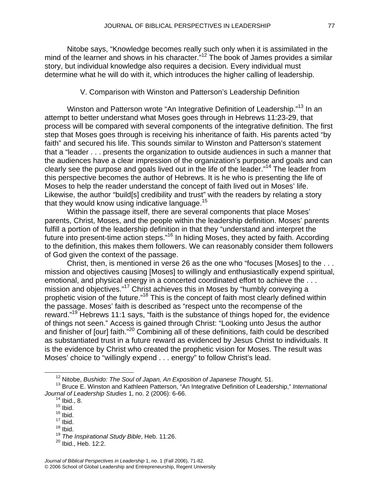Nitobe says, "Knowledge becomes really such only when it is assimilated in the mind of the learner and shows in his character.<sup>"12</sup> The book of James provides a similar story, but individual knowledge also requires a decision. Every individual must determine what he will do with it, which introduces the higher calling of leadership.

V. Comparison with Winston and Patterson's Leadership Definition

Winston and Patterson wrote "An Integrative Definition of Leadership."<sup>13</sup> In an attempt to better understand what Moses goes through in Hebrews 11:23-29, that process will be compared with several components of the integrative definition. The first step that Moses goes through is receiving his inheritance of faith. His parents acted "by faith" and secured his life. This sounds similar to Winston and Patterson's statement that a "leader . . . presents the organization to outside audiences in such a manner that the audiences have a clear impression of the organization's purpose and goals and can clearly see the purpose and goals lived out in the life of the leader.["14](#page-6-2) The leader from this perspective becomes the author of Hebrews. It is he who is presenting the life of Moses to help the reader understand the concept of faith lived out in Moses' life. Likewise, the author "build[s] credibility and trust" with the readers by relating a story that they would know using indicative language.<sup>15</sup>

Within the passage itself, there are several components that place Moses' parents, Christ, Moses, and the people within the leadership definition. Moses' parents fulfill a portion of the leadership definition in that they "understand and interpret the future into present-time action steps."<sup>16</sup> In hiding Moses, they acted by faith. According to the definition, this makes them followers. We can reasonably consider them followers of God given the context of the passage.

Christ, then, is mentioned in verse 26 as the one who "focuses [Moses] to the . . . mission and objectives causing [Moses] to willingly and enthusiastically expend spiritual, emotional, and physical energy in a concerted coordinated effort to achieve the ... mission and objectives.["17](#page-6-5) Christ achieves this in Moses by "humbly conveying a prophetic vision of the future.["18](#page-6-6) This is the concept of faith most clearly defined within the passage. Moses' faith is described as "respect unto the recompense of the reward.["19](#page-6-7) Hebrews 11:1 says, "faith is the substance of things hoped for, the evidence of things not seen." Access is gained through Christ: "Looking unto Jesus the author and finisher of [our] faith."[20](#page-6-8) Combining all of these definitions, faith could be described as substantiated trust in a future reward as evidenced by Jesus Christ to individuals. It is the evidence by Christ who created the prophetic vision for Moses. The result was Moses' choice to "willingly expend . . . energy" to follow Christ's lead.

- <span id="page-6-4"></span> $16$  Ibid.  $17$  Ibid.
- <span id="page-6-5"></span> $18$  Ibid.

<span id="page-6-1"></span><span id="page-6-0"></span>12 Nitobe, *Bushido: The Soul of Japan, An Exposition of Japanese Thought,* 51.

<sup>13</sup> Bruce E. Winston and Kathleen Patterson, "An Integrative Definition of Leadership," *International Journal of Leadership Studies* 1, no. 2 (2006): 6-66.<br><sup>14</sup> Ibid., 8.

<span id="page-6-2"></span>

<span id="page-6-3"></span> $15$  Ibid.

<span id="page-6-6"></span>

<span id="page-6-7"></span><sup>19</sup> *The Inspirational Study Bible*, Heb. 11:26.

<span id="page-6-8"></span><sup>20</sup> Ibid., Heb. 12:2.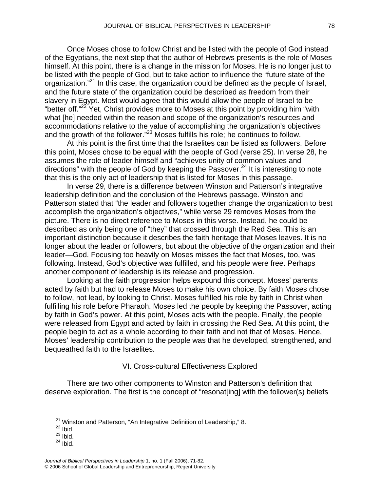Once Moses chose to follow Christ and be listed with the people of God instead of the Egyptians, the next step that the author of Hebrews presents is the role of Moses himself. At this point, there is a change in the mission for Moses. He is no longer just to be listed with the people of God, but to take action to influence the "future state of the organization."[21](#page-7-0) In this case, the organization could be defined as the people of Israel, and the future state of the organization could be described as freedom from their slavery in Egypt. Most would agree that this would allow the people of Israel to be "better off."<sup>22</sup> Yet, Christ provides more to Moses at this point by providing him "with what [he] needed within the reason and scope of the organization's resources and accommodations relative to the value of accomplishing the organization's objectives and the growth of the follower."<sup>23</sup> Moses fulfills his role; he continues to follow.

At this point is the first time that the Israelites can be listed as followers. Before this point, Moses chose to be equal with the people of God (verse 25). In verse 28, he assumes the role of leader himself and "achieves unity of common values and directions" with the people of God by keeping the Passover.<sup>24</sup> It is interesting to note that this is the only act of leadership that is listed for Moses in this passage.

In verse 29, there is a difference between Winston and Patterson's integrative leadership definition and the conclusion of the Hebrews passage. Winston and Patterson stated that "the leader and followers together change the organization to best accomplish the organization's objectives," while verse 29 removes Moses from the picture. There is no direct reference to Moses in this verse. Instead, he could be described as only being one of "they" that crossed through the Red Sea. This is an important distinction because it describes the faith heritage that Moses leaves. It is no longer about the leader or followers, but about the objective of the organization and their leader—God. Focusing too heavily on Moses misses the fact that Moses, too, was following. Instead, God's objective was fulfilled, and his people were free. Perhaps another component of leadership is its release and progression.

Looking at the faith progression helps expound this concept. Moses' parents acted by faith but had to release Moses to make his own choice. By faith Moses chose to follow, not lead, by looking to Christ. Moses fulfilled his role by faith in Christ when fulfilling his role before Pharaoh. Moses led the people by keeping the Passover, acting by faith in God's power. At this point, Moses acts with the people. Finally, the people were released from Egypt and acted by faith in crossing the Red Sea. At this point, the people begin to act as a whole according to their faith and not that of Moses. Hence, Moses' leadership contribution to the people was that he developed, strengthened, and bequeathed faith to the Israelites.

## VI. Cross-cultural Effectiveness Explored

There are two other components to Winston and Patterson's definition that deserve exploration. The first is the concept of "resonat[ing] with the follower(s) beliefs

<span id="page-7-3"></span> $24$  Ibid.

<span id="page-7-0"></span><sup>&</sup>lt;sup>21</sup> Winston and Patterson, "An Integrative Definition of Leadership," 8.<br><sup>22</sup> Ibid

<span id="page-7-1"></span>

<span id="page-7-2"></span> $23$  Ibid.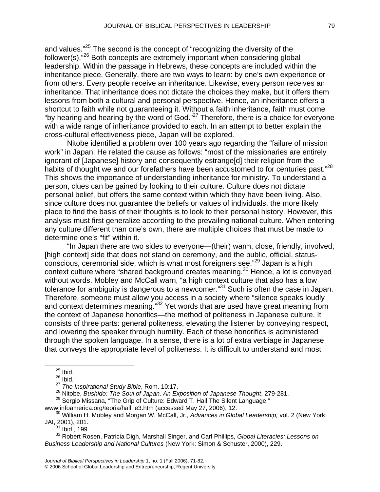and values."<sup>25</sup> The second is the concept of "recognizing the diversity of the follower(s)."[26](#page-8-1) Both concepts are extremely important when considering global leadership. Within the passage in Hebrews, these concepts are included within the inheritance piece. Generally, there are two ways to learn: by one's own experience or from others. Every people receive an inheritance. Likewise, every person receives an inheritance. That inheritance does not dictate the choices they make, but it offers them lessons from both a cultural and personal perspective. Hence, an inheritance offers a shortcut to faith while not guaranteeing it. Without a faith inheritance, faith must come "by hearing and hearing by the word of God." $27$  Therefore, there is a choice for everyone with a wide range of inheritance provided to each. In an attempt to better explain the cross-cultural effectiveness piece, Japan will be explored.

Nitobe identified a problem over 100 years ago regarding the "failure of mission work" in Japan. He related the cause as follows: "most of the missionaries are entirely ignorant of [Japanese] history and consequently estrange[d] their religion from the habits of thought we and our forefathers have been accustomed to for centuries past."<sup>[28](#page-8-3)</sup> This shows the importance of understanding inheritance for ministry. To understand a person, clues can be gained by looking to their culture. Culture does not dictate personal belief, but offers the same context within which they have been living. Also, since culture does not guarantee the beliefs or values of individuals, the more likely place to find the basis of their thoughts is to look to their personal history. However, this analysis must first generalize according to the prevailing national culture. When entering any culture different than one's own, there are multiple choices that must be made to determine one's "fit" within it.

"In Japan there are two sides to everyone—(their) warm, close, friendly, involved, [high context] side that does not stand on ceremony, and the public, official, statusconscious, ceremonial side, which is what most foreigners see."<sup>29</sup> Japan is a high context culture where "shared background creates meaning.[30](#page-8-5) Hence, a lot is conveyed without words. Mobley and McCall warn, "a high context culture that also has a low tolerance for ambiguity is dangerous to a newcomer."<sup>31</sup> Such is often the case in Japan. Therefore, someone must allow you access in a society where "silence speaks loudly and context determines meaning."<sup>32</sup> Yet words that are used have great meaning from the context of Japanese honorifics—the method of politeness in Japanese culture. It consists of three parts: general politeness, elevating the listener by conveying respect, and lowering the speaker through humility. Each of these honorifics is administered through the spoken language. In a sense, there is a lot of extra verbiage in Japanese that conveys the appropriate level of politeness. It is difficult to understand and most

[www.infoamerica.org/teoria/hall\\_e3.htm](http://www.infoamerica.org/teoria/hall_e3.htm) (accessed May 27, 2006), 12. [30](http://www.infoamerica.org/teoria/hall_e3.htm) William H. Mobley and Morgan W. McCall, Jr., *Advances in Global Leadership,* vol. 2 (New York: JAI, 2001), 201.

<span id="page-8-7"></span><span id="page-8-6"></span> $31$  Ibid., 199.

<span id="page-8-0"></span> $25$  Ibid.

<span id="page-8-1"></span> $26$  Ibid.

<span id="page-8-2"></span><sup>27</sup> *The Inspirational Study Bible*, Rom. 10:17.

<span id="page-8-3"></span><sup>28</sup> Nitobe, *Bushido: The Soul of Japan, An Exposition of Japanese Thought*, 279-281.

<span id="page-8-4"></span><sup>&</sup>lt;sup>29</sup> Sergio Missana, "The Grip of Culture: Edward T. Hall The Silent Language,"

<span id="page-8-5"></span>

<sup>32</sup> Robert Rosen, Patricia Digh, Marshall Singer, and Carl Phillips, *Global Literacies: Lessons on Business Leadership and National Cultures* (New York: Simon & Schuster, 2000), 229.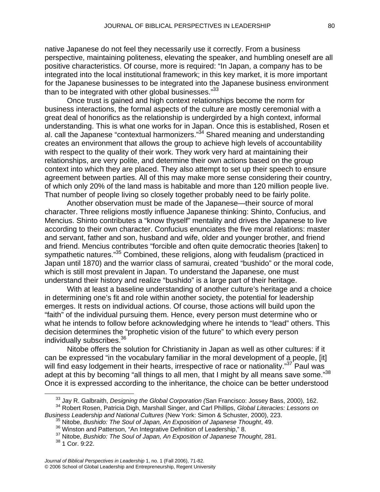native Japanese do not feel they necessarily use it correctly. From a business perspective, maintaining politeness, elevating the speaker, and humbling oneself are all positive characteristics. Of course, more is required: "In Japan, a company has to be integrated into the local institutional framework; in this key market, it is more important for the Japanese businesses to be integrated into the Japanese business environment than to be integrated with other global businesses."<sup>33</sup>

Once trust is gained and high context relationships become the norm for business interactions, the formal aspects of the culture are mostly ceremonial with a great deal of honorifics as the relationship is undergirded by a high context, informal understanding. This is what one works for in Japan. Once this is established, Rosen et al. call the Japanese "contextual harmonizers." $34$  Shared meaning and understanding creates an environment that allows the group to achieve high levels of accountability with respect to the quality of their work. They work very hard at maintaining their relationships, are very polite, and determine their own actions based on the group context into which they are placed. They also attempt to set up their speech to ensure agreement between parties. All of this may make more sense considering their country, of which only 20% of the land mass is habitable and more than 120 million people live. That number of people living so closely together probably need to be fairly polite.

Another observation must be made of the Japanese—their source of moral character. Three religions mostly influence Japanese thinking: Shinto, Confucius, and Mencius. Shinto contributes a "know thyself" mentality and drives the Japanese to live according to their own character. Confucius enunciates the five moral relations: master and servant, father and son, husband and wife, older and younger brother, and friend and friend. Mencius contributes "forcible and often quite democratic theories [taken] to sympathetic natures."<sup>35</sup> Combined, these religions, along with feudalism (practiced in Japan until 1870) and the warrior class of samurai, created "bushido" or the moral code, which is still most prevalent in Japan. To understand the Japanese, one must understand their history and realize "bushido" is a large part of their heritage.

With at least a baseline understanding of another culture's heritage and a choice in determining one's fit and role within another society, the potential for leadership emerges. It rests on individual actions. Of course, those actions will build upon the "faith" of the individual pursuing them. Hence, every person must determine who or what he intends to follow before acknowledging where he intends to "lead" others. This decision determines the "prophetic vision of the future" to which every person individually subscribes.<sup>[36](#page-9-3)</sup>

Nitobe offers the solution for Christianity in Japan as well as other cultures: if it can be expressed "in the vocabulary familiar in the moral development of a people, [it] will find easy lodgement in their hearts, irrespective of race or nationality."<sup>37</sup> Paul was adept at this by becoming "all things to all men, that I might by all means save some."<sup>[38](#page-9-5)</sup> Once it is expressed according to the inheritance, the choice can be better understood

<span id="page-9-1"></span><span id="page-9-0"></span>33 Jay R. Galbraith, *Designing the Global Corporation (*San Francisco: Jossey Bass, 2000), 162.

<sup>34</sup> Robert Rosen, Patricia Digh, Marshall Singer, and Carl Phillips, *Global Literacies: Lessons on*

*Business Leadership and National Cultures* (New York: Simon & Schuster, 2000), 223.<br><sup>35</sup> Nitobe, *Bushido: The Soul of Japan, An Exposition of Japanese Thought*, 49.<br><sup>36</sup> Winston and Patterson, "An Integrative Definition

<span id="page-9-3"></span><span id="page-9-2"></span>

<span id="page-9-4"></span><sup>&</sup>lt;sup>37</sup> Nitobe, Bushido: The Soul of Japan, An Exposition of Japanese Thought, 281.

<span id="page-9-5"></span><sup>38 1</sup> Cor. 9:22.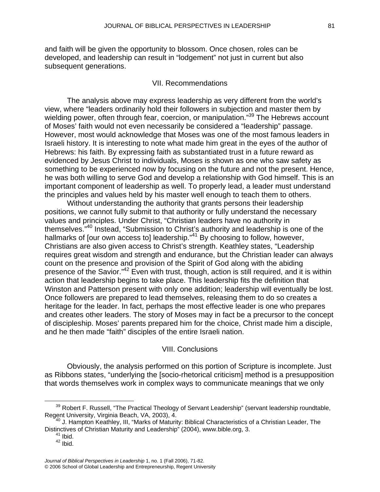and faith will be given the opportunity to blossom. Once chosen, roles can be developed, and leadership can result in "lodgement" not just in current but also subsequent generations.

### VII. Recommendations

The analysis above may express leadership as very different from the world's view, where "leaders ordinarily hold their followers in subjection and master them by wielding power, often through fear, coercion, or manipulation."<sup>39</sup> The Hebrews account of Moses' faith would not even necessarily be considered a "leadership" passage. However, most would acknowledge that Moses was one of the most famous leaders in Israeli history. It is interesting to note what made him great in the eyes of the author of Hebrews: his faith. By expressing faith as substantiated trust in a future reward as evidenced by Jesus Christ to individuals, Moses is shown as one who saw safety as something to be experienced now by focusing on the future and not the present. Hence, he was both willing to serve God and develop a relationship with God himself. This is an important component of leadership as well. To properly lead, a leader must understand the principles and values held by his master well enough to teach them to others.

Without understanding the authority that grants persons their leadership positions, we cannot fully submit to that authority or fully understand the necessary values and principles. Under Christ, "Christian leaders have no authority in themselves.["40](#page-10-1) Instead, "Submission to Christ's authority and leadership is one of the hallmarks of [our own access to] leadership."<sup>41</sup> By choosing to follow, however, Christians are also given access to Christ's strength. Keathley states, "Leadership requires great wisdom and strength and endurance, but the Christian leader can always count on the presence and provision of the Spirit of God along with the abiding presence of the Savior.["42](#page-10-3) Even with trust, though, action is still required, and it is within action that leadership begins to take place. This leadership fits the definition that Winston and Patterson present with only one addition; leadership will eventually be lost. Once followers are prepared to lead themselves, releasing them to do so creates a heritage for the leader. In fact, perhaps the most effective leader is one who prepares and creates other leaders. The story of Moses may in fact be a precursor to the concept of discipleship. Moses' parents prepared him for the choice, Christ made him a disciple, and he then made "faith" disciples of the entire Israeli nation.

#### VIII. Conclusions

Obviously, the analysis performed on this portion of Scripture is incomplete. Just as Ribbons states, "underlying the [socio-rhetorical criticism] method is a presupposition that words themselves work in complex ways to communicate meanings that we only

<span id="page-10-0"></span> $39$  Robert F. Russell, "The Practical Theology of Servant Leadership" (servant leadership roundtable, Regent University, Virginia Beach, VA, 2003), 4.

 $^{40}$  J. Hampton Keathley, III, "Marks of Maturity: Biblical Characteristics of a Christian Leader, The Distinctives of Christian Maturity and Leadership" (2004), www.bible.org, 3.<br><sup>41</sup> Ibid.

<span id="page-10-3"></span><span id="page-10-2"></span><span id="page-10-1"></span>

 $42$  Ibid.